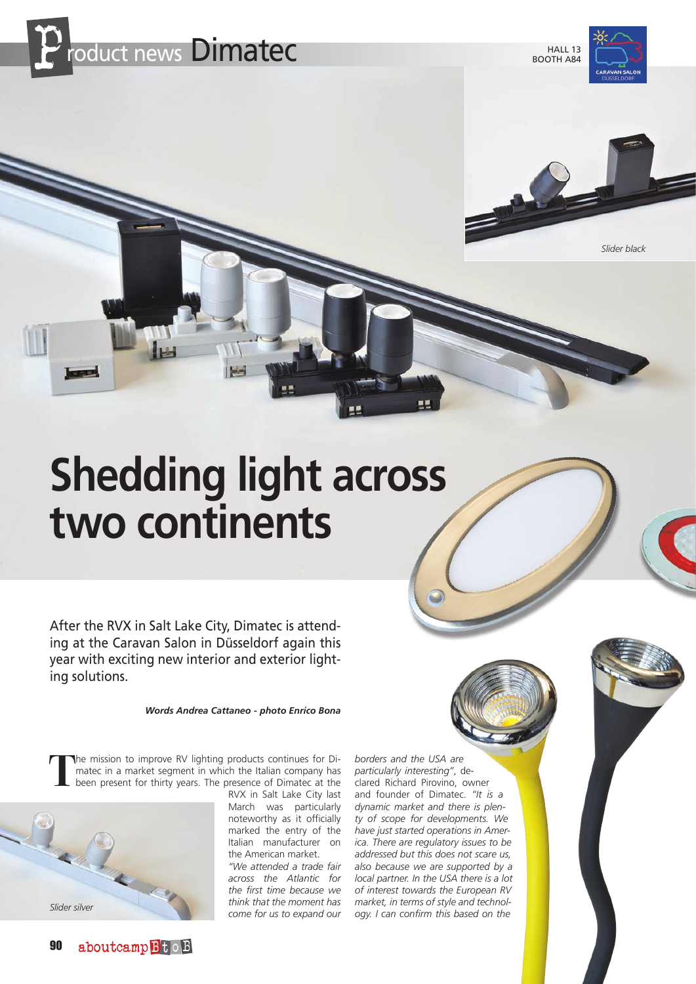

**HALL 13** BOOTH A84





## **Shedding light across two continents**

After the RVX in Salt Lake City, Dimatec is attending at the Caravan Salon in Düsseldorf again this year with exciting new interior and exterior lighting solutions.

*Words Andrea Cattaneo - photo Enrico Bona*

**T**he mission to improve RV lighting products continues for Dimatec in a market segment in which the Italian company has been present for thirty years. The presence of Dimatec at the



RVX in Salt Lake City last March was particularly noteworthy as it officially marked the entry of the Italian manufacturer on the American market.

*"We attended a trade fair across the Atlantic for the first time because we think that the moment has come for us to expand our* 

*borders and the USA are particularly interesting"*, declared Richard Pirovino, owner and founder of Dimatec. *"It is a dynamic market and there is plenty of scope for developments. We have just started operations in America. There are regulatory issues to be addressed but this does not scare us, also because we are supported by a local partner. In the USA there is a lot of interest towards the European RV market, in terms of style and technology. I can confirm this based on the*